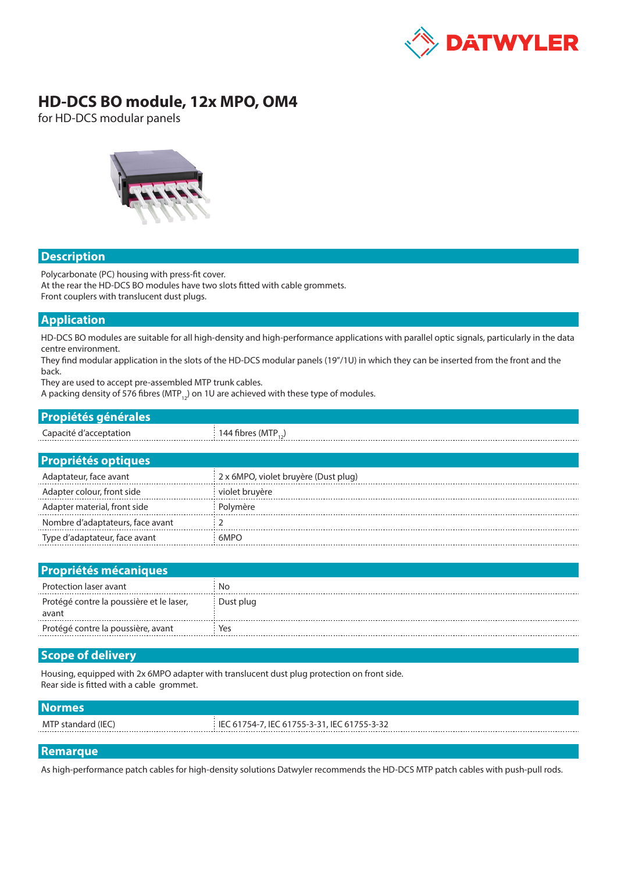

# **HD-DCS BO module, 12x MPO, OM4**

for HD-DCS modular panels



## **Description**

Polycarbonate (PC) housing with press-fit cover. At the rear the HD-DCS BO modules have two slots fitted with cable grommets. Front couplers with translucent dust plugs.

## **Application**

HD-DCS BO modules are suitable for all high-density and high-performance applications with parallel optic signals, particularly in the data centre environment.

They find modular application in the slots of the HD-DCS modular panels (19"/1U) in which they can be inserted from the front and the back.

They are used to accept pre-assembled MTP trunk cables.

A packing density of 576 fibres (MTP<sub>12</sub>) on 1U are achieved with these type of modules.

| <b>Propiétés générales</b> |                                   |
|----------------------------|-----------------------------------|
| Capacité d'acceptation     | $144$ fibres (MTP <sub>12</sub> ) |
|                            |                                   |
| <b>Propriétés optiques</b> |                                   |

| Adaptateur, face avant           | 2 x 6MPO, violet bruyère (Dust plug) |
|----------------------------------|--------------------------------------|
| Adapter colour, front side       | violet bruyère                       |
| Adapter material, front side     | Polymère                             |
| Nombre d'adaptateurs, face avant |                                      |
| Type d'adaptateur, face avant    | 6MPO                                 |

| <b>Propriétés mécaniques</b>                      |           |
|---------------------------------------------------|-----------|
| Protection laser avant                            | Nο        |
| Protégé contre la poussière et le laser,<br>avant | Dust plug |
| Protégé contre la poussière, avant                | Yes       |

# **Scope of delivery**

Housing, equipped with 2x 6MPO adapter with translucent dust plug protection on front side. Rear side is fitted with a cable grommet.

### **Normes**

MTP standard (IEC) IEC 61754-7, IEC 61755-3-31, IEC 61755-3-32

#### **Remarque**

As high-performance patch cables for high-density solutions Datwyler recommends the HD-DCS MTP patch cables with push-pull rods.